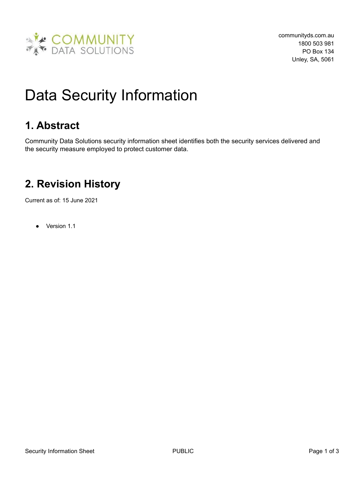

# Data Security Information

# **1. Abstract**

Community Data Solutions security information sheet identifies both the security services delivered and the security measure employed to protect customer data.

# **2. Revision History**

Current as of: 15 June 2021

● Version 1.1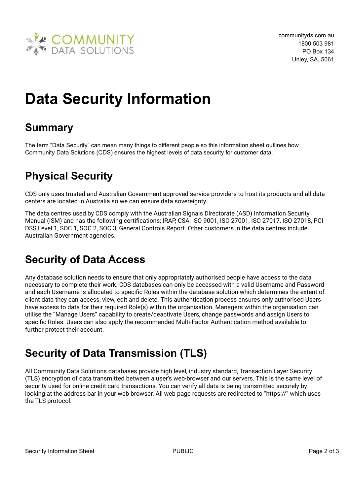

# **Data Security Information**

# **Summary**

The term "Data Security" can mean many things to different people so this information sheet outlines how Community Data Solutions (CDS) ensures the highest levels of data security for customer data.

# **Physical Security**

CDS only uses trusted and Australian Government approved service providers to host its products and all data centers are located in Australia so we can ensure data sovereignty.

The data centres used by CDS comply with the Australian Signals Directorate (ASD) Information Security Manual (ISM) and has the following certifications; IRAP, CSA, ISO 9001, ISO 27001, ISO 27017, ISO 27018, PCI DSS Level 1, SOC 1, SOC 2, SOC 3, General Controls Report. Other customers in the data centres include Australian Government agencies.

# **Security of Data Access**

Any database solution needs to ensure that only appropriately authorised people have access to the data necessary to complete their work. CDS databases can only be accessed with a valid Username and Password and each Username is allocated to specific Roles within the database solution which determines the extent of client data they can access, view, edit and delete. This authentication process ensures only authorised Users have access to data for their required Role(s) within the organisation. Managers within the organisation can utilise the "Manage Users" capability to create/deactivate Users, change passwords and assign Users to specific Roles. Users can also apply the recommended Multi-Factor Authentication method available to further protect their account.

# **Security of Data Transmission (TLS)**

All Community Data Solutions databases provide high level, industry standard, Transaction Layer Security (TLS) encryption of data transmitted between a user's web-browser and our servers. This is the same level of security used for online credit card transactions. You can verify all data is being transmitted securely by looking at the address bar in your web browser. All web page requests are redirected to "https://" which uses the TLS protocol.